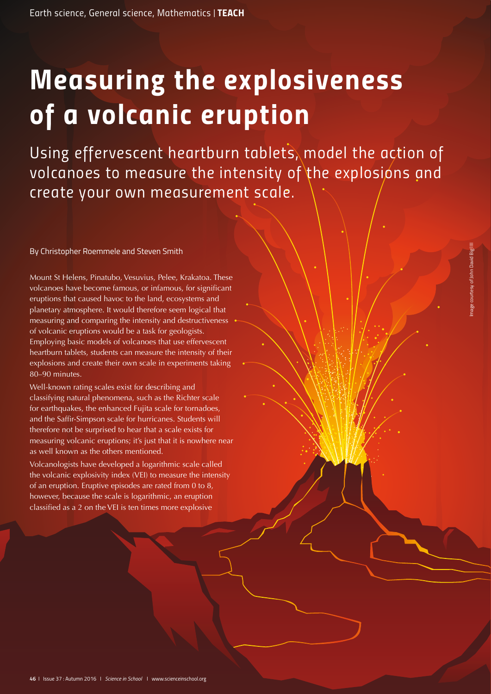# *Measuring the explosiveness of a volcanic eruption*

Using effervescent heartburn tablets, model the action of *volcanoes to measure the intensity of the explosions and create your own measurement scale.*

By Christopher Roemmele and Steven Smith

Mount St Helens, Pinatubo, Vesuvius, Pelee, Krakatoa. These volcanoes have become famous, or infamous, for significant eruptions that caused havoc to the land, ecosystems and planetary atmosphere. It would therefore seem logical that measuring and comparing the intensity and destructiveness of volcanic eruptions would be a task for geologists. Employing basic models of volcanoes that use effervescent heartburn tablets, students can measure the intensity of their explosions and create their own scale in experiments taking 80–90 minutes.

Well-known rating scales exist for describing and classifying natural phenomena, such as the Richter scale for earthquakes, the enhanced Fujita scale for tornadoes, and the Saffir-Simpson scale for hurricanes. Students will therefore not be surprised to hear that a scale exists for measuring volcanic eruptions; it's just that it is nowhere near as well known as the others mentioned.

Volcanologists have developed a logarithmic scale called the volcanic explosivity index (VEI) to measure the intensity of an eruption. Eruptive episodes are rated from 0 to 8, however, because the scale is logarithmic, an eruption classified as a 2 on the VEI is ten times more explosive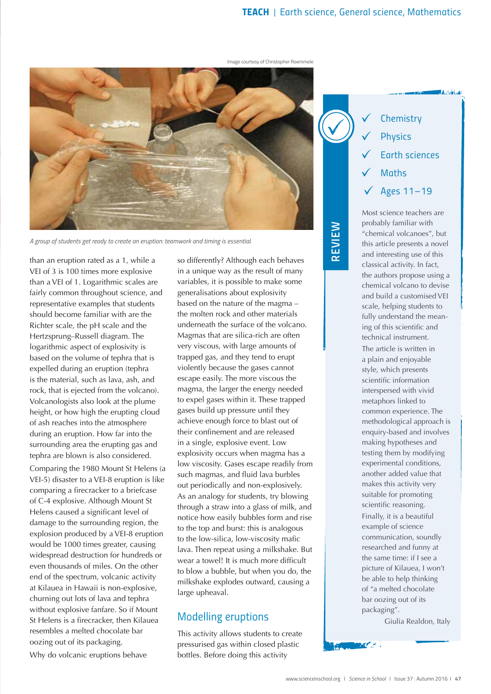*REVIE*

*W*

Image courtesy of Christopher Roemmele



*A group of students get ready to create an eruption: teamwork and timing is essential.*

than an eruption rated as a 1, while a VEI of 3 is 100 times more explosive than a VEI of 1. Logarithmic scales are fairly common throughout science, and representative examples that students should become familiar with are the Richter scale, the pH scale and the Hertzsprung–Russell diagram. The logarithmic aspect of explosivity is based on the volume of tephra that is expelled during an eruption (tephra is the material, such as lava, ash, and rock, that is ejected from the volcano). Volcanologists also look at the plume height, or how high the erupting cloud of ash reaches into the atmosphere during an eruption. How far into the surrounding area the erupting gas and tephra are blown is also considered.

Comparing the 1980 Mount St Helens (a VEI-5) disaster to a VEI-8 eruption is like comparing a firecracker to a briefcase of C-4 explosive. Although Mount St Helens caused a significant level of damage to the surrounding region, the explosion produced by a VEI-8 eruption would be 1000 times greater, causing widespread destruction for hundreds or even thousands of miles. On the other end of the spectrum, volcanic activity at Kilauea in Hawaii is non-explosive, churning out lots of lava and tephra without explosive fanfare. So if Mount St Helens is a firecracker, then Kilauea resembles a melted chocolate bar oozing out of its packaging.

Why do volcanic eruptions behave

so differently? Although each behaves in a unique way as the result of many variables, it is possible to make some generalisations about explosivity based on the nature of the magma – the molten rock and other materials underneath the surface of the volcano. Magmas that are silica-rich are often very viscous, with large amounts of trapped gas, and they tend to erupt violently because the gases cannot escape easily. The more viscous the magma, the larger the energy needed to expel gases within it. These trapped gases build up pressure until they achieve enough force to blast out of their confinement and are released in a single, explosive event. Low explosivity occurs when magma has a low viscosity. Gases escape readily from such magmas, and fluid lava burbles out periodically and non-explosively. As an analogy for students, try blowing through a straw into a glass of milk, and notice how easily bubbles form and rise to the top and burst: this is analogous to the low-silica, low-viscosity mafic lava. Then repeat using a milkshake. But wear a towel! It is much more difficult to blow a bubble, but when you do, the milkshake explodes outward, causing a large upheaval.

## *Modelling eruptions*

This activity allows students to create pressurised gas within closed plastic bottles. Before doing this activity



**AARTHUM** 

Most science teachers are probably familiar with "chemical volcanoes", but this article presents a novel and interesting use of this classical activity. In fact, the authors propose using a chemical volcano to devise and build a customised VEI scale, helping students to fully understand the meaning of this scientific and technical instrument. The article is written in a plain and enjoyable style, which presents scientific information interspersed with vivid metaphors linked to common experience. The methodological approach is enquiry-based and involves making hypotheses and testing them by modifying experimental conditions, another added value that makes this activity very suitable for promoting scientific reasoning. Finally, it is a beautiful example of science communication, soundly researched and funny at the same time: if I see a picture of Kilauea, I won't be able to help thinking of "a melted chocolate bar oozing out of its packaging".

Giulia Realdon, Italy

أسراها المسحائين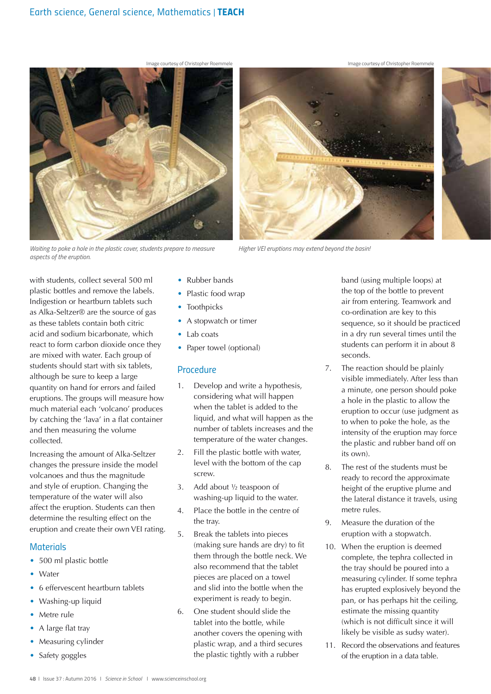

*Waiting to poke a hole in the plastic cover, students prepare to measure aspects of the eruption.*

• Rubber bands

- Plastic food wrap
- **Toothpicks**
- A stopwatch or timer
- Lab coats
- Paper towel (optional)

### *Procedure*

1. Develop and write a hypothesis, considering what will happen when the tablet is added to the liquid, and what will happen as the number of tablets increases and the temperature of the water changes.

*Higher VEI eruptions may extend beyond the basin!*

- 2. Fill the plastic bottle with water, level with the bottom of the cap screw.
- 3. Add about ½ teaspoon of washing-up liquid to the water.
- 4. Place the bottle in the centre of the tray.
- 5. Break the tablets into pieces (making sure hands are dry) to fit them through the bottle neck. We also recommend that the tablet pieces are placed on a towel and slid into the bottle when the experiment is ready to begin.
- 6. One student should slide the tablet into the bottle, while another covers the opening with plastic wrap, and a third secures the plastic tightly with a rubber

band (using multiple loops) at the top of the bottle to prevent air from entering. Teamwork and co-ordination are key to this sequence, so it should be practiced in a dry run several times until the students can perform it in about 8 seconds.

- 7. The reaction should be plainly visible immediately. After less than a minute, one person should poke a hole in the plastic to allow the eruption to occur (use judgment as to when to poke the hole, as the intensity of the eruption may force the plastic and rubber band off on its own).
- 8. The rest of the students must be ready to record the approximate height of the eruptive plume and the lateral distance it travels, using metre rules.
- 9. Measure the duration of the eruption with a stopwatch.
- 10. When the eruption is deemed complete, the tephra collected in the tray should be poured into a measuring cylinder. If some tephra has erupted explosively beyond the pan, or has perhaps hit the ceiling, estimate the missing quantity (which is not difficult since it will likely be visible as sudsy water).
- 11. Record the observations and features of the eruption in a data table.

## Indigestion or heartburn tablets such as Alka-Seltzer® are the source of gas as these tablets contain both citric acid and sodium bicarbonate, which react to form carbon dioxide once they are mixed with water. Each group of students should start with six tablets,

although be sure to keep a large quantity on hand for errors and failed eruptions. The groups will measure how much material each 'volcano' produces by catching the 'lava' in a flat container and then measuring the volume collected.

with students, collect several 500 ml plastic bottles and remove the labels.

Increasing the amount of Alka-Seltzer changes the pressure inside the model volcanoes and thus the magnitude and style of eruption. Changing the temperature of the water will also affect the eruption. Students can then determine the resulting effect on the eruption and create their own VEI rating.

## *Materials*

- 500 ml plastic bottle
- **Water**
- 6 effervescent heartburn tablets
- Washing-up liquid
- Metre rule
- A large flat tray
- Measuring cylinder
- Safety goggles